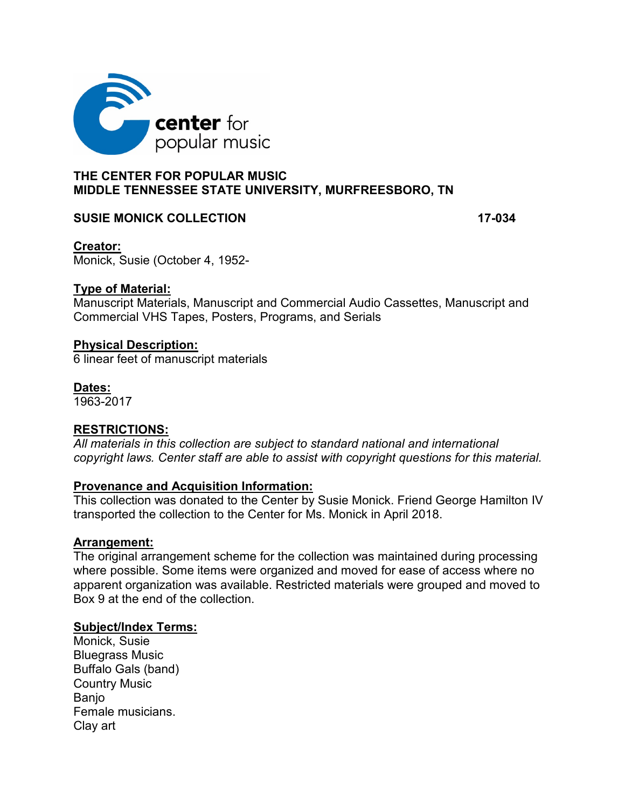

# **THE CENTER FOR POPULAR MUSIC MIDDLE TENNESSEE STATE UNIVERSITY, MURFREESBORO, TN**

# **SUSIE MONICK COLLECTION 17-034**

# **Creator:**

Monick, Susie (October 4, 1952-

# **Type of Material:**

Manuscript Materials, Manuscript and Commercial Audio Cassettes, Manuscript and Commercial VHS Tapes, Posters, Programs, and Serials

# **Physical Description:**

6 linear feet of manuscript materials

# **Dates:**

1963-2017

# **RESTRICTIONS:**

*All materials in this collection are subject to standard national and international copyright laws. Center staff are able to assist with copyright questions for this material.* 

#### **Provenance and Acquisition Information:**

This collection was donated to the Center by Susie Monick. Friend George Hamilton IV transported the collection to the Center for Ms. Monick in April 2018.

#### **Arrangement:**

The original arrangement scheme for the collection was maintained during processing where possible. Some items were organized and moved for ease of access where no apparent organization was available. Restricted materials were grouped and moved to Box 9 at the end of the collection.

#### **Subject/Index Terms:**

Monick, Susie Bluegrass Music Buffalo Gals (band) Country Music **Banio** Female musicians. Clay art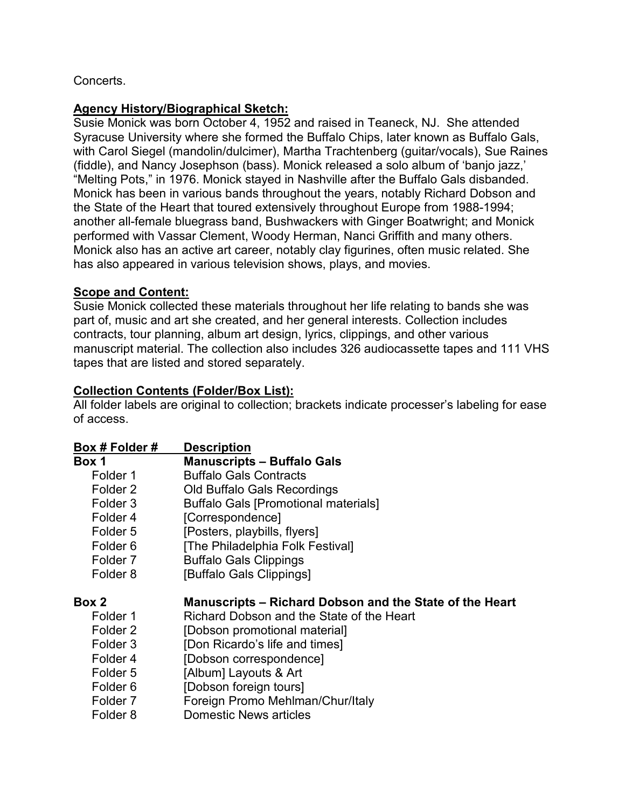# Concerts.

# **Agency History/Biographical Sketch:**

Susie Monick was born October 4, 1952 and raised in Teaneck, NJ. She attended Syracuse University where she formed the Buffalo Chips, later known as Buffalo Gals, with Carol Siegel (mandolin/dulcimer), Martha Trachtenberg (guitar/vocals), Sue Raines (fiddle), and Nancy Josephson (bass). Monick released a solo album of 'banjo jazz,' "Melting Pots," in 1976. Monick stayed in Nashville after the Buffalo Gals disbanded. Monick has been in various bands throughout the years, notably Richard Dobson and the State of the Heart that toured extensively throughout Europe from 1988-1994; another all-female bluegrass band, Bushwackers with Ginger Boatwright; and Monick performed with Vassar Clement, Woody Herman, Nanci Griffith and many others. Monick also has an active art career, notably clay figurines, often music related. She has also appeared in various television shows, plays, and movies.

# **Scope and Content:**

Susie Monick collected these materials throughout her life relating to bands she was part of, music and art she created, and her general interests. Collection includes contracts, tour planning, album art design, lyrics, clippings, and other various manuscript material. The collection also includes 326 audiocassette tapes and 111 VHS tapes that are listed and stored separately.

# **Collection Contents (Folder/Box List):**

All folder labels are original to collection; brackets indicate processer's labeling for ease of access.

| Box # Folder #      | <b>Description</b>                                      |
|---------------------|---------------------------------------------------------|
| Box 1               | <b>Manuscripts - Buffalo Gals</b>                       |
| Folder 1            | <b>Buffalo Gals Contracts</b>                           |
| Folder 2            | <b>Old Buffalo Gals Recordings</b>                      |
| Folder 3            | <b>Buffalo Gals [Promotional materials]</b>             |
| Folder 4            | [Correspondence]                                        |
| Folder 5            | [Posters, playbills, flyers]                            |
| Folder 6            | [The Philadelphia Folk Festival]                        |
| Folder <sub>7</sub> | <b>Buffalo Gals Clippings</b>                           |
| Folder 8            | [Buffalo Gals Clippings]                                |
| Box 2               | Manuscripts – Richard Dobson and the State of the Heart |
| Folder 1            | Richard Dobson and the State of the Heart               |
| Folder 2            | [Dobson promotional material]                           |
| Folder 3            | [Don Ricardo's life and times]                          |
| Folder 4            | [Dobson correspondence]                                 |
| Folder 5            | [Album] Layouts & Art                                   |
| Folder 6            | [Dobson foreign tours]                                  |
| Folder <sub>7</sub> | Foreign Promo Mehlman/Chur/Italy                        |
| Folder 8            | Domestic News articles                                  |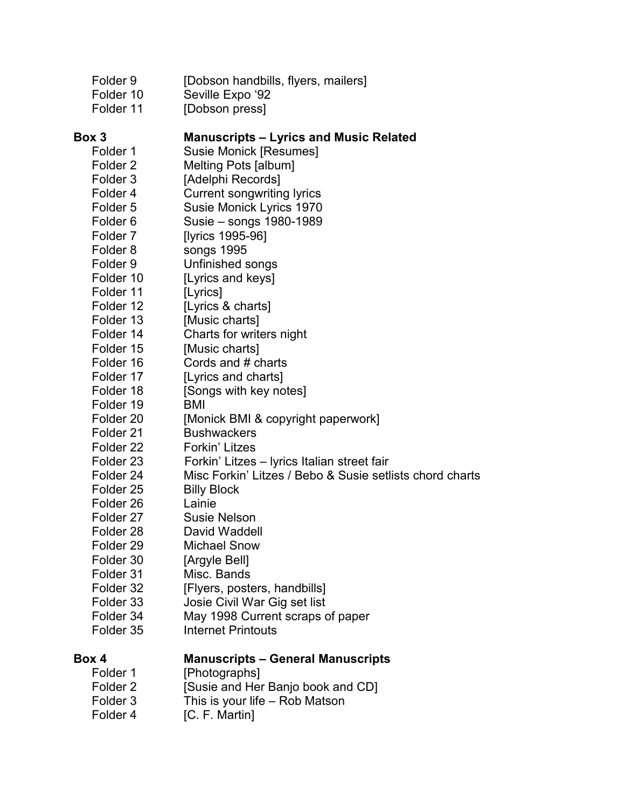| Folder <sub>9</sub><br>Folder 10<br>Folder 11 | [Dobson handbills, flyers, mailers]<br>Seville Expo '92<br>[Dobson press] |
|-----------------------------------------------|---------------------------------------------------------------------------|
| Box 3                                         | <b>Manuscripts – Lyrics and Music Related</b>                             |
| Folder 1                                      | <b>Susie Monick [Resumes]</b>                                             |
| Folder <sub>2</sub>                           | Melting Pots [album]                                                      |
| Folder <sub>3</sub>                           | [Adelphi Records]                                                         |
| Folder 4                                      | <b>Current songwriting lyrics</b>                                         |
| Folder 5                                      | Susie Monick Lyrics 1970                                                  |
| Folder <sub>6</sub>                           | Susie – songs 1980-1989                                                   |
| Folder <sub>7</sub>                           | [lyrics 1995-96]                                                          |
| Folder 8                                      | songs 1995                                                                |
| Folder 9                                      | Unfinished songs                                                          |
| Folder 10                                     | [Lyrics and keys]                                                         |
| Folder 11                                     | [Lyrics]                                                                  |
| Folder 12                                     | [Lyrics & charts]                                                         |
| Folder 13                                     | [Music charts]                                                            |
| Folder 14                                     | Charts for writers night                                                  |
| Folder 15                                     | [Music charts]                                                            |
| Folder 16                                     | Cords and # charts                                                        |
| Folder 17                                     | [Lyrics and charts]                                                       |
| Folder 18                                     | [Songs with key notes]                                                    |
| Folder 19                                     | BMI                                                                       |
| Folder 20                                     | [Monick BMI & copyright paperwork]                                        |
| Folder 21                                     | <b>Bushwackers</b>                                                        |
| Folder 22                                     | Forkin' Litzes                                                            |
| Folder 23                                     | Forkin' Litzes - lyrics Italian street fair                               |
| Folder 24                                     | Misc Forkin' Litzes / Bebo & Susie setlists chord charts                  |
| Folder 25                                     | <b>Billy Block</b>                                                        |
| Folder 26                                     | Lainie                                                                    |
| Folder 27                                     | <b>Susie Nelson</b>                                                       |
| Folder 28                                     | David Waddell                                                             |
| Folder <sub>29</sub>                          | <b>Michael Snow</b>                                                       |
| Folder 30                                     | [Argyle Bell]                                                             |
| Folder 31                                     | Misc. Bands                                                               |
| Folder 32                                     | [Flyers, posters, handbills]                                              |
| Folder 33                                     | Josie Civil War Gig set list                                              |
| Folder 34                                     | May 1998 Current scraps of paper                                          |
| Folder 35                                     | <b>Internet Printouts</b>                                                 |
| Box 4                                         | <b>Manuscripts - General Manuscripts</b>                                  |
| Folder 1                                      | [Photographs]                                                             |
| Folder <sub>2</sub>                           | [Susie and Her Banjo book and CD]                                         |
| Folder <sub>3</sub>                           | This is your life – Rob Matson                                            |

Folder 4 [C. F. Martin]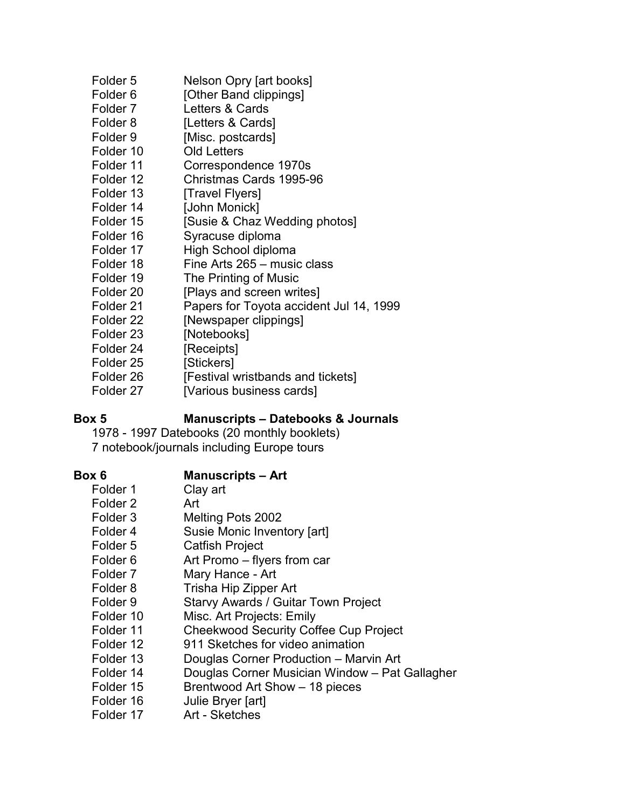| Folder 5            | Nelson Opry [art books]                 |
|---------------------|-----------------------------------------|
| Folder <sub>6</sub> | [Other Band clippings]                  |
| Folder 7            | Letters & Cards                         |
| Folder 8            | [Letters & Cards]                       |
| Folder 9            | [Misc. postcards]                       |
| Folder 10           | <b>Old Letters</b>                      |
| Folder 11           | Correspondence 1970s                    |
| Folder 12           | Christmas Cards 1995-96                 |
| Folder 13           | [Travel Flyers]                         |
| Folder 14           | [John Monick]                           |
| Folder 15           | [Susie & Chaz Wedding photos]           |
| Folder 16           | Syracuse diploma                        |
| Folder 17           | High School diploma                     |
| Folder 18           | Fine Arts 265 – music class             |
| Folder 19           | The Printing of Music                   |
| Folder 20           | [Plays and screen writes]               |
| Folder 21           | Papers for Toyota accident Jul 14, 1999 |
| Folder 22           | [Newspaper clippings]                   |
| Folder 23           | [Notebooks]                             |
| Folder 24           | [Receipts]                              |
| Folder 25           | [Stickers]                              |
| Folder 26           | [Festival wristbands and tickets]       |
| Folder 27           | [Various business cards]                |

#### **Box 5 Manuscripts – Datebooks & Journals**

1978 - 1997 Datebooks (20 monthly booklets) 7 notebook/journals including Europe tours

# **Box 6 Manuscripts – Art**

| Folder 1            | Clay art                                       |
|---------------------|------------------------------------------------|
| Folder <sub>2</sub> | Art                                            |
| Folder <sub>3</sub> | Melting Pots 2002                              |
| Folder 4            | Susie Monic Inventory [art]                    |
| Folder 5            | <b>Catfish Project</b>                         |
| Folder 6            | Art Promo – flyers from car                    |
| Folder 7            | Mary Hance - Art                               |
| Folder 8            | Trisha Hip Zipper Art                          |
| Folder 9            | <b>Starvy Awards / Guitar Town Project</b>     |
| Folder 10           | Misc. Art Projects: Emily                      |
| Folder 11           | <b>Cheekwood Security Coffee Cup Project</b>   |
| Folder 12           | 911 Sketches for video animation               |
| Folder 13           | Douglas Corner Production - Marvin Art         |
| Folder 14           | Douglas Corner Musician Window - Pat Gallagher |
| Folder 15           | Brentwood Art Show - 18 pieces                 |
| Folder 16           | Julie Bryer [art]                              |
| Folder 17           | Art - Sketches                                 |
|                     |                                                |